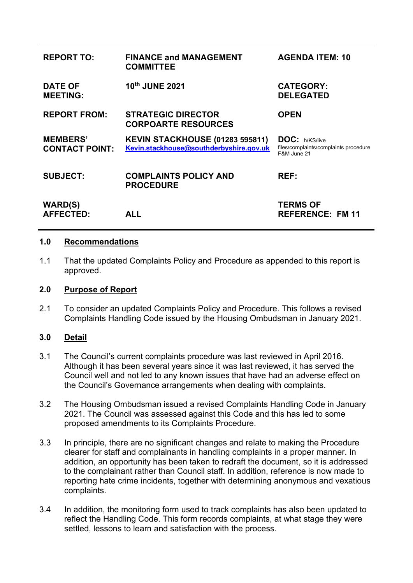| <b>REPORT TO:</b>                        | <b>FINANCE and MANAGEMENT</b><br><b>COMMITTEE</b>                                 | <b>AGENDA ITEM: 10</b>                                                 |
|------------------------------------------|-----------------------------------------------------------------------------------|------------------------------------------------------------------------|
| <b>DATE OF</b><br><b>MEETING:</b>        | 10th JUNE 2021                                                                    | <b>CATEGORY:</b><br><b>DELEGATED</b>                                   |
| <b>REPORT FROM:</b>                      | <b>STRATEGIC DIRECTOR</b><br><b>CORPOARTE RESOURCES</b>                           | <b>OPEN</b>                                                            |
| <b>MEMBERS'</b><br><b>CONTACT POINT:</b> | <b>KEVIN STACKHOUSE (01283 595811)</b><br>Kevin.stackhouse@southderbyshire.gov.uk | DOC: h/KS/live<br>files/complaints/complaints procedure<br>F&M June 21 |
| <b>SUBJECT:</b>                          | <b>COMPLAINTS POLICY AND</b><br><b>PROCEDURE</b>                                  | REF:                                                                   |
| <b>WARD(S)</b><br><b>AFFECTED:</b>       | ALL                                                                               | <b>TERMS OF</b><br><b>REFERENCE: FM 11</b>                             |

#### **1.0 Recommendations**

1.1 That the updated Complaints Policy and Procedure as appended to this report is approved.

#### **2.0 Purpose of Report**

2.1 To consider an updated Complaints Policy and Procedure. This follows a revised Complaints Handling Code issued by the Housing Ombudsman in January 2021.

### **3.0 Detail**

- 3.1 The Council's current complaints procedure was last reviewed in April 2016. Although it has been several years since it was last reviewed, it has served the Council well and not led to any known issues that have had an adverse effect on the Council's Governance arrangements when dealing with complaints.
- 3.2 The Housing Ombudsman issued a revised Complaints Handling Code in January 2021. The Council was assessed against this Code and this has led to some proposed amendments to its Complaints Procedure.
- 3.3 In principle, there are no significant changes and relate to making the Procedure clearer for staff and complainants in handling complaints in a proper manner. In addition, an opportunity has been taken to redraft the document, so it is addressed to the complainant rather than Council staff. In addition, reference is now made to reporting hate crime incidents, together with determining anonymous and vexatious complaints.
- 3.4 In addition, the monitoring form used to track complaints has also been updated to reflect the Handling Code. This form records complaints, at what stage they were settled, lessons to learn and satisfaction with the process.